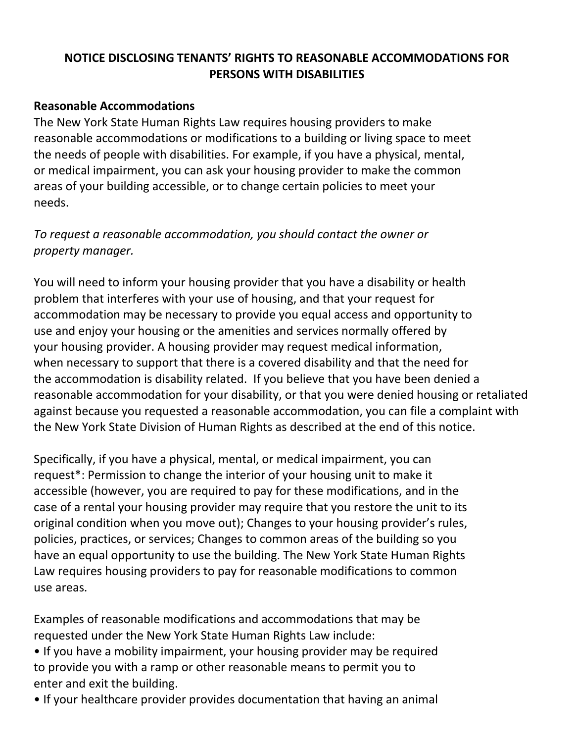## **NOTICE DISCLOSING TENANTS' RIGHTS TO REASONABLE ACCOMMODATIONS FOR PERSONS WITH DISABILITIES**

## **Reasonable Accommodations**

The New York State Human Rights Law requires housing providers to make reasonable accommodations or modifications to a building or living space to meet the needs of people with disabilities. For example, if you have a physical, mental, or medical impairment, you can ask your housing provider to make the common areas of your building accessible, or to change certain policies to meet your needs.

*To request a reasonable accommodation, you should contact the owner or property manager.*

You will need to inform your housing provider that you have a disability or health problem that interferes with your use of housing, and that your request for accommodation may be necessary to provide you equal access and opportunity to use and enjoy your housing or the amenities and services normally offered by your housing provider. A housing provider may request medical information, when necessary to support that there is a covered disability and that the need for the accommodation is disability related. If you believe that you have been denied a reasonable accommodation for your disability, or that you were denied housing or retaliated against because you requested a reasonable accommodation, you can file a complaint with the New York State Division of Human Rights as described at the end of this notice.

Specifically, if you have a physical, mental, or medical impairment, you can request\*: Permission to change the interior of your housing unit to make it accessible (however, you are required to pay for these modifications, and in the case of a rental your housing provider may require that you restore the unit to its original condition when you move out); Changes to your housing provider's rules, policies, practices, or services; Changes to common areas of the building so you have an equal opportunity to use the building. The New York State Human Rights Law requires housing providers to pay for reasonable modifications to common use areas.

Examples of reasonable modifications and accommodations that may be requested under the New York State Human Rights Law include:

- If you have a mobility impairment, your housing provider may be required to provide you with a ramp or other reasonable means to permit you to enter and exit the building.
- If your healthcare provider provides documentation that having an animal